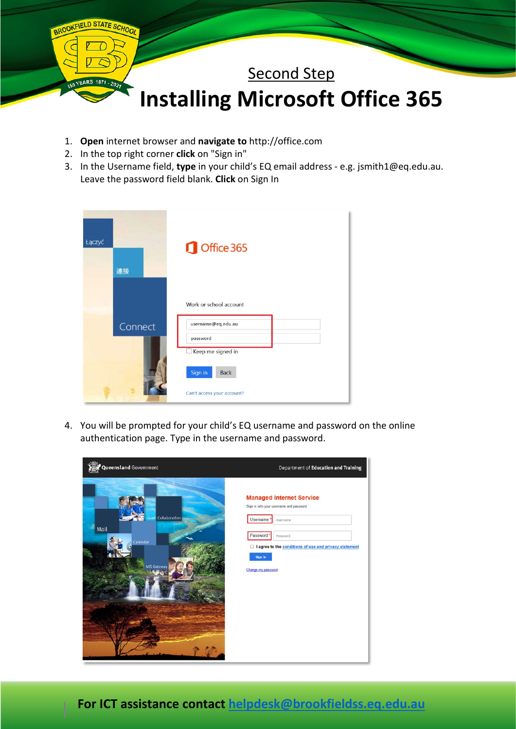

- 1. **Open** internet browser and **navigate to** [http://office.com](http://office.com/)
- 2. In the top right corner **click** on "Sign in"
- 3. In the Username field, **type** in your child's EQ email address e.g. jsmith1@eq.edu.au. Leave the password field blank. **Click** on Sign In

| Łączyć<br>連接 | Office 365                                                                    |
|--------------|-------------------------------------------------------------------------------|
| Connect      | Work or school account<br>username@eq.edu.au<br>password<br>Keep me signed in |
|              | Sign in<br><b>Back</b><br>Can't access your account?                          |

4. You will be prompted for your child's EQ username and password on the online authentication page. Type in the username and password.

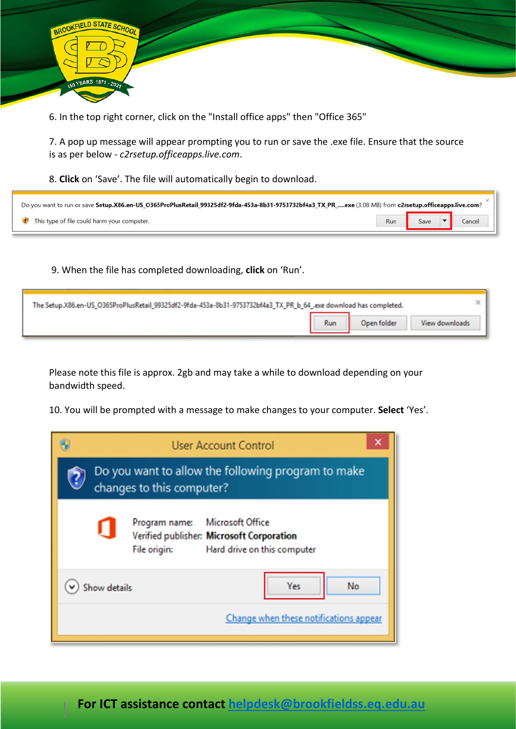

6. In the top right corner, click on the "Install office apps" then "Office 365"

7. A pop up message will appear prompting you to run or save the .exe file. Ensure that the source is as per below - *c2rsetup.officeapps.live.com*.

8. **Click** on 'Save'. The file will automatically begin to download.

| Do you want to run or save Setup.X86.en-US_O365ProPlusRetail_99325df2-9fda-453a-8b31-9753732bf4a3_TX_PR_exe (3.08 MB) from c2rsetup.officeapps.live.com? [100] |  |                           |
|----------------------------------------------------------------------------------------------------------------------------------------------------------------|--|---------------------------|
| This type of file could harm your computer.                                                                                                                    |  | Run Save $\bullet$ Cancel |

9. When the file has completed downloading, **click** on 'Run'.

| The Setup.X86.en-US_O365ProPlusRetail_99325df2-9fda-453a-8b31-9753732bf4a3_TX_PR_b_64_.exe download has completed. |     |             |                |
|--------------------------------------------------------------------------------------------------------------------|-----|-------------|----------------|
|                                                                                                                    | Run | Open folder | View downloads |

Please note this file is approx. 2gb and may take a while to download depending on your bandwidth speed.

10. You will be prompted with a message to make changes to your computer. **Select** 'Yes'.

|              | <b>User Account Control</b>                                                                                                          |  |
|--------------|--------------------------------------------------------------------------------------------------------------------------------------|--|
|              | Do you want to allow the following program to make<br>changes to this computer?                                                      |  |
|              | <b>Microsoft Office</b><br>Program name:<br>Verified publisher: Microsoft Corporation<br>File origin:<br>Hard drive on this computer |  |
| Show details | No<br>Yes<br>Change when these notifications appear                                                                                  |  |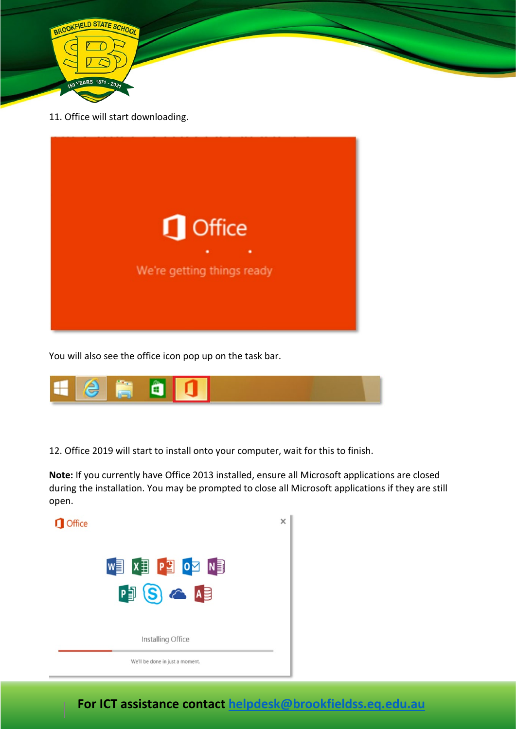

11. Office will start downloading.



You will also see the office icon pop up on the task bar.



12. Office 2019 will start to install onto your computer, wait for this to finish.

**Note:** If you currently have Office 2013 installed, ensure all Microsoft applications are closed during the installation. You may be prompted to close all Microsoft applications if they are still open.

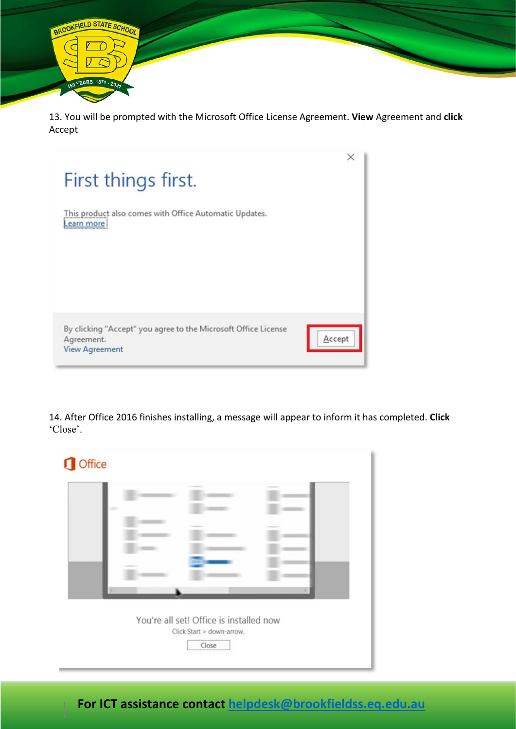

13. You will be prompted with the Microsoft Office License Agreement. **View** Agreement and **click** Accept



14. After Office 2016 finishes installing, a message will appear to inform it has completed. **Click** 'Close'.

| w |                                         |  |
|---|-----------------------------------------|--|
|   |                                         |  |
|   |                                         |  |
| × |                                         |  |
|   | You're all set! Office is installed now |  |